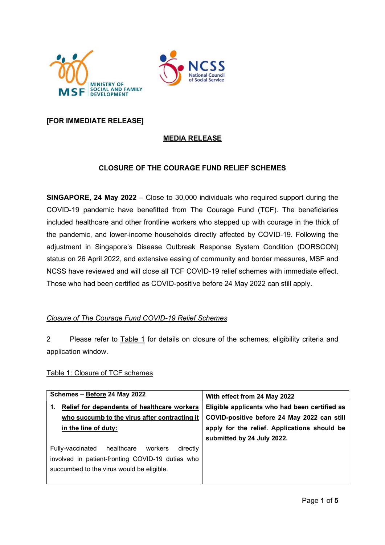



# [FOR IMMEDIATE RELEASE]

# MEDIA RELEASE

# CLOSURE OF THE COURAGE FUND RELIEF SCHEMES

SINGAPORE, 24 May 2022 – Close to 30,000 individuals who required support during the COVID-19 pandemic have benefitted from The Courage Fund (TCF). The beneficiaries included healthcare and other frontline workers who stepped up with courage in the thick of the pandemic, and lower-income households directly affected by COVID-19. Following the adjustment in Singapore's Disease Outbreak Response System Condition (DORSCON) status on 26 April 2022, and extensive easing of community and border measures, MSF and NCSS have reviewed and will close all TCF COVID-19 relief schemes with immediate effect. Those who had been certified as COVID-positive before 24 May 2022 can still apply.

### Closure of The Courage Fund COVID-19 Relief Schemes

2 Please refer to Table 1 for details on closure of the schemes, eligibility criteria and application window.

### Table 1: Closure of TCF schemes

| Schemes - Before 24 May 2022                          | With effect from 24 May 2022                  |
|-------------------------------------------------------|-----------------------------------------------|
| Relief for dependents of healthcare workers<br>1.     | Eligible applicants who had been certified as |
| who succumb to the virus after contracting it         | COVID-positive before 24 May 2022 can still   |
| in the line of duty:                                  | apply for the relief. Applications should be  |
|                                                       | submitted by 24 July 2022.                    |
| healthcare<br>directly<br>Fully-vaccinated<br>workers |                                               |
| involved in patient-fronting COVID-19 duties who      |                                               |
| succumbed to the virus would be eligible.             |                                               |
|                                                       |                                               |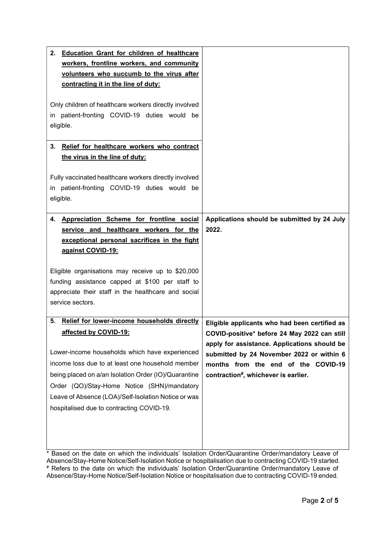| <b>Education Grant for children of healthcare</b><br>2.<br>workers, frontline workers, and community<br>volunteers who succumb to the virus after<br>contracting it in the line of duty:                                                                              |                                                      |
|-----------------------------------------------------------------------------------------------------------------------------------------------------------------------------------------------------------------------------------------------------------------------|------------------------------------------------------|
| Only children of healthcare workers directly involved<br>in patient-fronting COVID-19 duties would be<br>eligible.                                                                                                                                                    |                                                      |
| Relief for healthcare workers who contract<br>3.<br>the virus in the line of duty:                                                                                                                                                                                    |                                                      |
| Fully vaccinated healthcare workers directly involved<br>in patient-fronting COVID-19 duties would be<br>eligible.                                                                                                                                                    |                                                      |
| Appreciation Scheme for frontline social<br>4.<br>service and healthcare workers for the<br>exceptional personal sacrifices in the fight<br>against COVID-19:<br>Eligible organisations may receive up to \$20,000<br>funding assistance capped at \$100 per staff to | Applications should be submitted by 24 July<br>2022. |
| appreciate their staff in the healthcare and social<br>service sectors.                                                                                                                                                                                               |                                                      |

<sup>\*</sup> Based on the date on which the individuals' Isolation Order/Quarantine Order/mandatory Leave of Absence/Stay-Home Notice/Self-Isolation Notice or hospitalisation due to contracting COVID-19 started. # Refers to the date on which the individuals' Isolation Order/Quarantine Order/mandatory Leave of Absence/Stay-Home Notice/Self-Isolation Notice or hospitalisation due to contracting COVID-19 ended.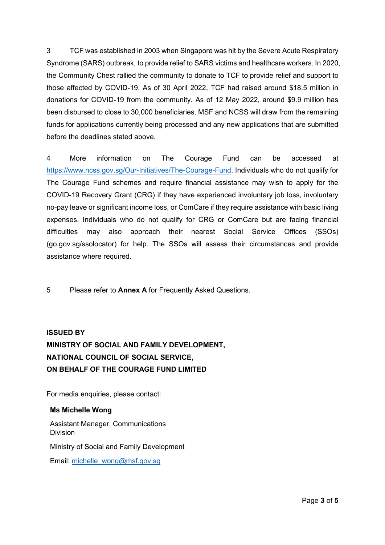3 TCF was established in 2003 when Singapore was hit by the Severe Acute Respiratory Syndrome (SARS) outbreak, to provide relief to SARS victims and healthcare workers. In 2020, the Community Chest rallied the community to donate to TCF to provide relief and support to those affected by COVID-19. As of 30 April 2022, TCF had raised around \$18.5 million in donations for COVID-19 from the community. As of 12 May 2022, around \$9.9 million has been disbursed to close to 30,000 beneficiaries. MSF and NCSS will draw from the remaining funds for applications currently being processed and any new applications that are submitted before the deadlines stated above.

4 More information on The Courage Fund can be accessed at https://www.ncss.gov.sg/Our-Initiatives/The-Courage-Fund. Individuals who do not qualify for The Courage Fund schemes and require financial assistance may wish to apply for the COVID-19 Recovery Grant (CRG) if they have experienced involuntary job loss, involuntary no-pay leave or significant income loss, or ComCare if they require assistance with basic living expenses. Individuals who do not qualify for CRG or ComCare but are facing financial difficulties may also approach their nearest Social Service Offices (SSOs) (go.gov.sg/ssolocator) for help. The SSOs will assess their circumstances and provide assistance where required.

5 Please refer to Annex A for Frequently Asked Questions.

# ISSUED BY MINISTRY OF SOCIAL AND FAMILY DEVELOPMENT, NATIONAL COUNCIL OF SOCIAL SERVICE, ON BEHALF OF THE COURAGE FUND LIMITED

For media enquiries, please contact:

### Ms Michelle Wong

Assistant Manager, Communications Division Ministry of Social and Family Development Email: michelle\_wong@msf.gov.sg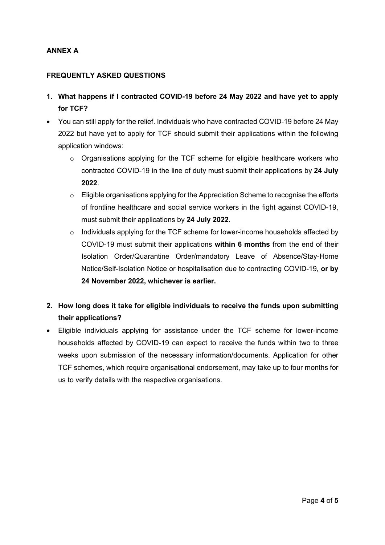# ANNEX A

## FREQUENTLY ASKED QUESTIONS

- 1. What happens if I contracted COVID-19 before 24 May 2022 and have yet to apply for TCF?
- You can still apply for the relief. Individuals who have contracted COVID-19 before 24 May 2022 but have yet to apply for TCF should submit their applications within the following application windows:
	- $\circ$  Organisations applying for the TCF scheme for eligible healthcare workers who contracted COVID-19 in the line of duty must submit their applications by 24 July 2022.
	- $\circ$  Eligible organisations applying for the Appreciation Scheme to recognise the efforts of frontline healthcare and social service workers in the fight against COVID-19, must submit their applications by 24 July 2022.
	- $\circ$  Individuals applying for the TCF scheme for lower-income households affected by COVID-19 must submit their applications within 6 months from the end of their Isolation Order/Quarantine Order/mandatory Leave of Absence/Stay-Home Notice/Self-Isolation Notice or hospitalisation due to contracting COVID-19, or by 24 November 2022, whichever is earlier.
- 2. How long does it take for eligible individuals to receive the funds upon submitting their applications?
- Eligible individuals applying for assistance under the TCF scheme for lower-income households affected by COVID-19 can expect to receive the funds within two to three weeks upon submission of the necessary information/documents. Application for other TCF schemes, which require organisational endorsement, may take up to four months for us to verify details with the respective organisations.